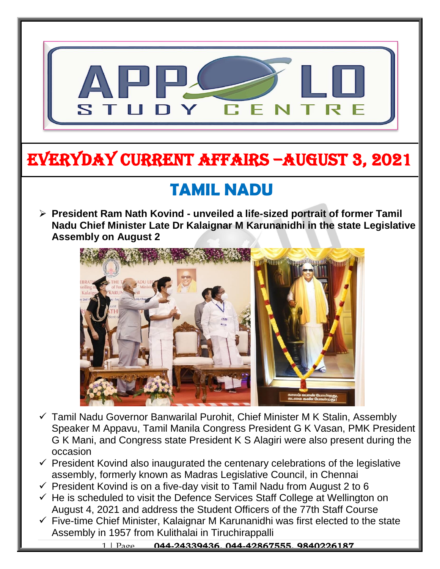

# EVERYDAY CURRENT AFFAIRS –AUGUST 3, 2021

-

# **TAMIL NADU**

 **President Ram Nath Kovind - unveiled a life-sized portrait of former Tamil Nadu Chief Minister Late Dr Kalaignar M Karunanidhi in the state Legislative Assembly on August 2** i<br>La



- Tamil Nadu Governor Banwarilal Purohit, Chief Minister M K Stalin, Assembly Speaker M Appavu, Tamil Manila Congress President G K Vasan, PMK President G K Mani, and Congress state President K S Alagiri were also present during the occasion
- $\checkmark$  President Kovind also inaugurated the centenary celebrations of the legislative assembly, formerly known as Madras Legislative Council, in Chennai
- $\checkmark$  President Kovind is on a five-day visit to Tamil Nadu from August 2 to 6
- $\checkmark$  He is scheduled to visit the Defence Services Staff College at Wellington on August 4, 2021 and address the Student Officers of the 77th Staff Course
- $\checkmark$  Five-time Chief Minister, Kalaignar M Karunanidhi was first elected to the state Assembly in 1957 from Kulithalai in Tiruchirappalli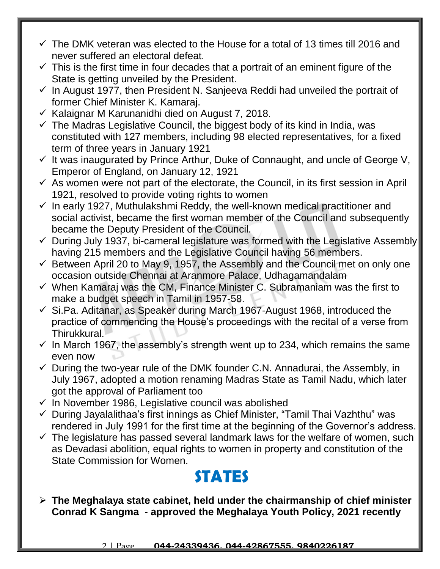- $\checkmark$  The DMK veteran was elected to the House for a total of 13 times till 2016 and never suffered an electoral defeat.
- $\checkmark$  This is the first time in four decades that a portrait of an eminent figure of the State is getting unveiled by the President.
- $\checkmark$  In August 1977, then President N. Sanjeeva Reddi had unveiled the portrait of former Chief Minister K. Kamaraj.
- $\checkmark$  Kalaignar M Karunanidhi died on August 7, 2018.
- $\checkmark$  The Madras Legislative Council, the biggest body of its kind in India, was constituted with 127 members, including 98 elected representatives, for a fixed term of three years in January 1921
- $\checkmark$  It was inaugurated by Prince Arthur, Duke of Connaught, and uncle of George V, Emperor of England, on January 12, 1921
- $\checkmark$  As women were not part of the electorate, the Council, in its first session in April 1921, resolved to provide voting rights to women
- $\checkmark$  In early 1927, Muthulakshmi Reddy, the well-known medical practitioner and social activist, became the first woman member of the Council and subsequently became the Deputy President of the Council.
- $\checkmark$  During July 1937, bi-cameral legislature was formed with the Legislative Assembly having 215 members and the Legislative Council having 56 members.
- $\checkmark$  Between April 20 to May 9, 1957, the Assembly and the Council met on only one occasion outside Chennai at Aranmore Palace, Udhagamandalam
- $\checkmark$  When Kamaraj was the CM, Finance Minister C. Subramaniam was the first to make a budget speech in Tamil in 1957-58.
- $\checkmark$  Si.Pa. Aditanar, as Speaker during March 1967-August 1968, introduced the practice of commencing the House's proceedings with the recital of a verse from Thirukkural.
- $\checkmark$  In March 1967, the assembly's strength went up to 234, which remains the same even now
- $\checkmark$  During the two-year rule of the DMK founder C.N. Annadurai, the Assembly, in July 1967, adopted a motion renaming Madras State as Tamil Nadu, which later got the approval of Parliament too
- $\checkmark$  In November 1986, Legislative council was abolished
- $\checkmark$  During Jayalalithaa's first innings as Chief Minister, "Tamil Thai Vazhthu" was rendered in July 1991 for the first time at the beginning of the Governor's address.
- $\checkmark$  The legislature has passed several landmark laws for the welfare of women, such as Devadasi abolition, equal rights to women in property and constitution of the State Commission for Women.

### **STATES**

 **The Meghalaya state cabinet, held under the chairmanship of chief minister Conrad K Sangma - approved the Meghalaya Youth Policy, 2021 recently**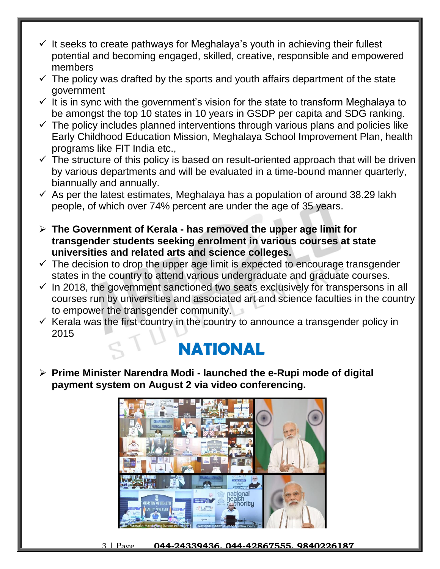- It seeks to create pathways for Meghalaya's youth in achieving their fullest potential and becoming engaged, skilled, creative, responsible and empowered members
- $\checkmark$  The policy was drafted by the sports and youth affairs department of the state government
- $\checkmark$  It is in sync with the government's vision for the state to transform Meghalaya to be amongst the top 10 states in 10 years in GSDP per capita and SDG ranking.
- $\checkmark$  The policy includes planned interventions through various plans and policies like Early Childhood Education Mission, Meghalaya School Improvement Plan, health programs like FIT India etc.,
- $\checkmark$  The structure of this policy is based on result-oriented approach that will be driven by various departments and will be evaluated in a time-bound manner quarterly, biannually and annually.
- $\checkmark$  As per the latest estimates, Meghalaya has a population of around 38.29 lakh people, of which over 74% percent are under the age of 35 years.
- **The Government of Kerala - has removed the upper age limit for transgender students seeking enrolment in various courses at state universities and related arts and science colleges.**
- $\checkmark$  The decision to drop the upper age limit is expected to encourage transgender states in the country to attend various undergraduate and graduate courses.
- $\checkmark$  In 2018, the government sanctioned two seats exclusively for transpersons in all courses run by universities and associated art and science faculties in the country to empower the transgender community.
- $\checkmark$  Kerala was the first country in the country to announce a transgender policy in 2015



 **Prime Minister Narendra Modi - launched the e-Rupi mode of digital payment system on August 2 via video conferencing.**

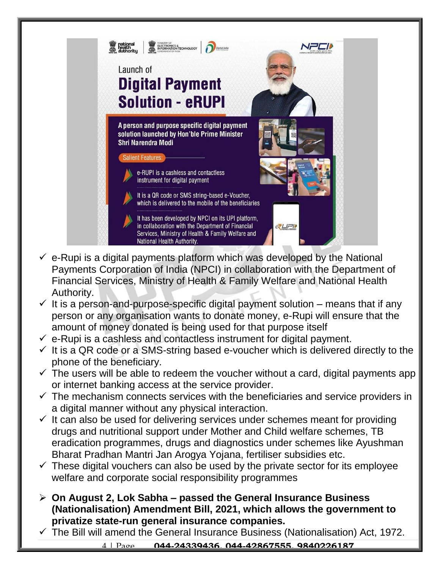

- $\checkmark$  e-Rupi is a digital payments platform which was developed by the National Payments Corporation of India (NPCI) in collaboration with the Department of Financial Services, Ministry of Health & Family Welfare and National Health Authority.
- $\checkmark$  It is a person-and-purpose-specific digital payment solution means that if any person or any organisation wants to donate money, e-Rupi will ensure that the amount of money donated is being used for that purpose itself
- $\checkmark$  e-Rupi is a cashless and contactless instrument for digital payment.
- $\checkmark$  It is a QR code or a SMS-string based e-voucher which is delivered directly to the phone of the beneficiary.
- $\checkmark$  The users will be able to redeem the voucher without a card, digital payments app or internet banking access at the service provider.
- $\checkmark$  The mechanism connects services with the beneficiaries and service providers in a digital manner without any physical interaction.
- $\checkmark$  It can also be used for delivering services under schemes meant for providing drugs and nutritional support under Mother and Child welfare schemes, TB eradication programmes, drugs and diagnostics under schemes like Ayushman Bharat Pradhan Mantri Jan Arogya Yojana, fertiliser subsidies etc.
- $\checkmark$  These digital vouchers can also be used by the private sector for its employee welfare and corporate social responsibility programmes
- **On August 2, Lok Sabha – passed the General Insurance Business (Nationalisation) Amendment Bill, 2021, which allows the government to privatize state-run general insurance companies.**
- $\checkmark$  The Bill will amend the General Insurance Business (Nationalisation) Act, 1972.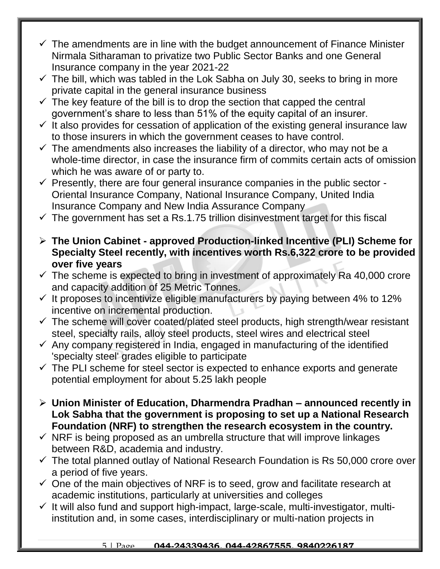- $\checkmark$  The amendments are in line with the budget announcement of Finance Minister Nirmala Sitharaman to privatize two Public Sector Banks and one General Insurance company in the year 2021-22
- $\checkmark$  The bill, which was tabled in the Lok Sabha on July 30, seeks to bring in more private capital in the general insurance business
- $\checkmark$  The key feature of the bill is to drop the section that capped the central government's share to less than 51% of the equity capital of an insurer.
- $\checkmark$  It also provides for cessation of application of the existing general insurance law to those insurers in which the government ceases to have control.
- $\checkmark$  The amendments also increases the liability of a director, who may not be a whole-time director, in case the insurance firm of commits certain acts of omission which he was aware of or party to.
- $\checkmark$  Presently, there are four general insurance companies in the public sector -Oriental Insurance Company, National Insurance Company, United India Insurance Company and New India Assurance Company
- $\checkmark$  The government has set a Rs.1.75 trillion disinvestment target for this fiscal
- **The Union Cabinet - approved Production-linked Incentive (PLI) Scheme for Specialty Steel recently, with incentives worth Rs.6,322 crore to be provided over five years**
- $\checkmark$  The scheme is expected to bring in investment of approximately Ra 40,000 crore and capacity addition of 25 Metric Tonnes.
- $\checkmark$  It proposes to incentivize eligible manufacturers by paying between 4% to 12% incentive on incremental production.
- $\checkmark$  The scheme will cover coated/plated steel products, high strength/wear resistant steel, specialty rails, alloy steel products, steel wires and electrical steel
- $\checkmark$  Any company registered in India, engaged in manufacturing of the identified 'specialty steel' grades eligible to participate
- $\checkmark$  The PLI scheme for steel sector is expected to enhance exports and generate potential employment for about 5.25 lakh people
- **Union Minister of Education, Dharmendra Pradhan – announced recently in Lok Sabha that the government is proposing to set up a National Research Foundation (NRF) to strengthen the research ecosystem in the country.**
- $\checkmark$  NRF is being proposed as an umbrella structure that will improve linkages between R&D, academia and industry.
- $\checkmark$  The total planned outlay of National Research Foundation is Rs 50,000 crore over a period of five years.
- $\checkmark$  One of the main objectives of NRF is to seed, grow and facilitate research at academic institutions, particularly at universities and colleges
- $\checkmark$  It will also fund and support high-impact, large-scale, multi-investigator, multiinstitution and, in some cases, interdisciplinary or multi-nation projects in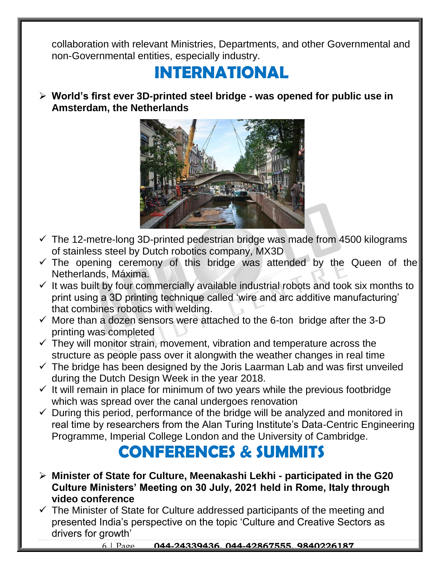collaboration with relevant Ministries, Departments, and other Governmental and non-Governmental entities, especially industry.

### **INTERNATIONAL**

 **World's first ever 3D-printed steel bridge - was opened for public use in Amsterdam, the Netherlands** 



- $\checkmark$  The 12-metre-long 3D-printed pedestrian bridge was made from 4500 kilograms of stainless steel by Dutch robotics company, MX3D
- $\checkmark$  The opening ceremony of this bridge was attended by the Queen of the Netherlands, Máxima.
- $\checkmark$  It was built by four commercially available industrial robots and took six months to print using a 3D printing technique called 'wire and arc additive manufacturing' that combines robotics with welding.
- $\checkmark$  More than a dozen sensors were attached to the 6-ton bridge after the 3-D printing was completed
- $\checkmark$  They will monitor strain, movement, vibration and temperature across the structure as people pass over it alongwith the weather changes in real time
- $\checkmark$  The bridge has been designed by the Joris Laarman Lab and was first unveiled during the Dutch Design Week in the year 2018.
- $\checkmark$  It will remain in place for minimum of two years while the previous footbridge which was spread over the canal undergoes renovation
- $\checkmark$  During this period, performance of the bridge will be analyzed and monitored in real time by researchers from the Alan Turing Institute's Data-Centric Engineering Programme, Imperial College London and the University of Cambridge.

### **CONFERENCES & SUMMITS**

- **Minister of State for Culture, Meenakashi Lekhi - participated in the G20 Culture Ministers' Meeting on 30 July, 2021 held in Rome, Italy through video conference**
- $\checkmark$  The Minister of State for Culture addressed participants of the meeting and presented India's perspective on the topic 'Culture and Creative Sectors as drivers for growth'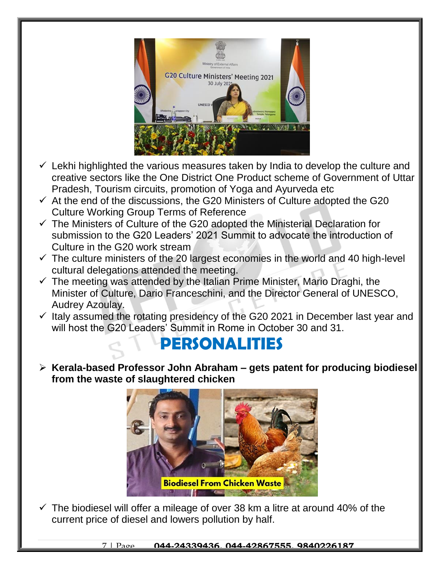

- $\checkmark$  Lekhi highlighted the various measures taken by India to develop the culture and creative sectors like the One District One Product scheme of Government of Uttar Pradesh, Tourism circuits, promotion of Yoga and Ayurveda etc
- $\checkmark$  At the end of the discussions, the G20 Ministers of Culture adopted the G20 Culture Working Group Terms of Reference
- $\checkmark$  The Ministers of Culture of the G20 adopted the Ministerial Declaration for submission to the G20 Leaders' 2021 Summit to advocate the introduction of Culture in the G20 work stream
- $\checkmark$  The culture ministers of the 20 largest economies in the world and 40 high-level cultural delegations attended the meeting.
- $\checkmark$  The meeting was attended by the Italian Prime Minister, Mario Draghi, the Minister of Culture, Dario Franceschini, and the Director General of UNESCO, Audrey Azoulay.
- $\checkmark$  Italy assumed the rotating presidency of the G20 2021 in December last year and will host the G20 Leaders' Summit in Rome in October 30 and 31.

#### **PERSONALITIES**

 **Kerala-based Professor John Abraham – gets patent for producing biodiesel from the waste of slaughtered chicken**



 $\checkmark$  The biodiesel will offer a mileage of over 38 km a litre at around 40% of the current price of diesel and lowers pollution by half.